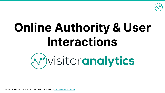

# **Online Authority & User Interactions**



Visitor Analytics - Online Authority & User Interactions - [www.visitor-analytics.io](http://www.visitor-analytics.io)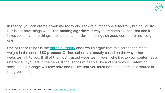

In theory, you can create a website today and rank at number one tomorrow, but obviously, this is not how things work. The **ranking algorithm** is way more complex than that and it takes so many more things into account, in order to distinguish good content for not so good one.

One of these things is the **[online authority](https://go2page.org/DMPresentation46)** and I would argue that this carries the most weight in the entire **SEO process**. Online authority is mostly based on the way other websites link to you. If all of the most trusted websites in your niche link to your content as a reference, if you are in the news, if thousands of people like and share your content on social media, Google will take note and realize that you must be the most reliable source in the given topic.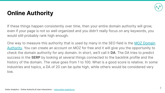

## **Online Authority**

If these things happen consistently over time, then your entire domain authority will grow, even if your page is not so well organized and you didn't really focus on any keywords, you would still probably rank high enough.

One way to measure this authority that is used by many in the SEO field is the [MOZ Domain](https://go2page.org/DMPresentation33) [Authority.](https://go2page.org/DMPresentation33) You can create an account on MOZ for free and it will give you the opportunity to check the domain authority for any domain. In short, we'll call it **DA**. The DA tries to predict success in the **SERP** by looking at several things connected to the backlink profile and the history of the domain. The value goes from 1 to 100. What is a good score is relative. In some industries and topics, a DA of 20 can be quite high, while others would be considered very low.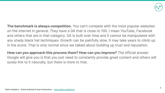

**The benchmark is always competition.** You can't compete with the most popular websites on the internet in general. They have a DA that is close to 100. I mean YouTube, Facebook and others that are in that category. DA is built over time and it cannot be manipulated with any shady black hat techniques. Growth can be painfully slow. It may take years to climb up in the score. That is only normal since we talked about building up trust and reputation.

**How can you approach this process them? How can you improve?** The official answer Google will give you is that you just need to constantly provide great content and others will surely link to it naturally, but there is more to that.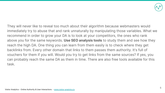

They will never like to reveal too much about their algorithm because webmasters would immediately try to abuse that and rank unnaturally by manipulating those variables. What we recommend in order to grow your DA is to look at your competitors, the ones who rank above you for the same keywords. **Use SEO analysis tools** to study them and see how they reach the high DA. One thing you can learn from them easily is to check where they get backlinks from. Every other domain that links to them passes them authority. It's full of vouchers for them if you will. Would you try to get links from the same sources? If yes, you can probably reach the same DA as them in time. There are also free tools available for this task.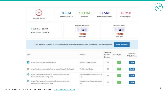

|     | 74<br>Domain Rating                                                           | 9.95M<br>Referring URL's                                                                          | 13.17M<br>Backlink                         |                             | 57.56K<br>46.21K<br><b>Referring Domains</b><br>Referring IP's   |                              |  |
|-----|-------------------------------------------------------------------------------|---------------------------------------------------------------------------------------------------|--------------------------------------------|-----------------------------|------------------------------------------------------------------|------------------------------|--|
|     | · Dofollow - 12.70M<br>. No Follow - 463.82K                                  |                                                                                                   | Organic Keyword<br>A<br>35 O<br>Visit here |                             | Organic Traffic<br>$\mathbf{a}$<br>$\rightarrow 0$<br>Visit here |                              |  |
|     |                                                                               | This report is limited to the top backlinks pointing at your domain, (showing 1 link per domain). |                                            |                             | <b>View All Links</b>                                            |                              |  |
| URL |                                                                               |                                                                                                   | Anchor                                     | Semrush<br>Domain<br>Rating | Link Type                                                        | Semrush<br><b>URL Rating</b> |  |
|     | https://automattic.com/cookies/                                               |                                                                                                   | Do Not Track header                        | 97                          | F                                                                | Check                        |  |
| 鱈   | http://web.gencat.cat/ca/menu-ajuda/ajuda/avis_legal/                         |                                                                                                   | Politica de Hotjar                         | 94                          | F                                                                | <b>Check</b>                 |  |
| œ   | https://www.ratgeberrecht.eu/leistungen/muster-<br>datenschutzerklaerung.html |                                                                                                   | https://www.hotjar.com/priv<br>acy         | 93                          |                                                                  | <b>Check</b>                 |  |
|     | https://www.ratgeberrecht.eu/leistungen/muster-<br>datenschutzerklaerung.html |                                                                                                   | https://www.hotjar.com/opt-<br>out         | 93                          |                                                                  | <b>Check</b>                 |  |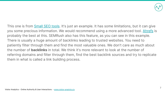

This one is from **Small SEO tools**. It's just an example. It has some limitations, but it can give you some precious information. We would recommend using a more advanced tool. [Ahrefs](https://go2page.org/DMPresentation35) is probably the best at this. SEMRush also has this feature, as you can see in this example. There is usually a huge amount of backlinks leading to trusted websites. You need to patiently filter through them and find the most valuable ones. We don't care as much about the number of **backlinks** in total. We think it's more relevant to look at the number of referring domains and filter through them, find the best backlink sources and try to replicate them in what is called a link building process.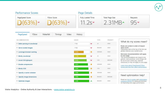

#### Performance Scores Page Details PageSpeed Score **YSlow Score** Fully Loaded Time Total Page Size Requests  $D(63%) - D(63%) 2.31MB 95 11.2s$

| PageSpeed                      | YSlow | Waterfall | Timings | Video | History                   |               |               |                                                                                                                                                                                                                                                                  |                                                                                                  |  |  |
|--------------------------------|-------|-----------|---------|-------|---------------------------|---------------|---------------|------------------------------------------------------------------------------------------------------------------------------------------------------------------------------------------------------------------------------------------------------------------|--------------------------------------------------------------------------------------------------|--|--|
| RECOMMENDATION                 |       |           |         |       | GRADE                     |               | TYPE          | PRIORITY                                                                                                                                                                                                                                                         | What do my scores mean?                                                                          |  |  |
| * Defer parsing of Java Script |       |           |         |       | F(0)                      | $\checkmark$  | $_{\rm dS}$   | HIGH                                                                                                                                                                                                                                                             |                                                                                                  |  |  |
| * Serve scaled images          |       |           |         |       | F(0)                      | $\checkmark$  | <b>IMAGES</b> | <b>HIGH</b>                                                                                                                                                                                                                                                      | Rules are sorted in order of impact<br>upon score<br>Optimizing rules at the top of the list can |  |  |
| * Leverage browser caching     |       |           |         |       | D(63)                     | ۰             | SERVER        | <b>HIGH</b>                                                                                                                                                                                                                                                      | greatly improve your overall score.                                                              |  |  |
| * Minify JavaScript            |       |           |         | C(79) | v                         | $_{15}$       | <b>HIGH</b>   | Not every recommendation will apply<br>to your page<br>The recommendations are meant to be<br>generic, best practices; some things will<br>be out of your control (eg. external<br>resources) or may not apply to your page.<br>Learn more about PageSpeed/YSlow |                                                                                                  |  |  |
| * Avoid CSS @import            |       |           |         |       | <b>B</b> (83)             | $\checkmark$  | CSS           |                                                                                                                                                                                                                                                                  | MEDIUM                                                                                           |  |  |
| Enable compression             |       |           |         |       | A(91)                     | ۰             | <b>SERVER</b> |                                                                                                                                                                                                                                                                  | HIGH                                                                                             |  |  |
| * Minify CSS                   |       |           |         |       | A (94)                    | ۰             | CSS           | <b>HIGH</b>                                                                                                                                                                                                                                                      | scores and how they affect performance.                                                          |  |  |
| * Specify a cache validator    |       |           |         |       | A (98)                    | ۰             | <b>SERVER</b> | <b>HIGH</b>                                                                                                                                                                                                                                                      |                                                                                                  |  |  |
| * Specify image dimensions     |       |           |         |       | A (99)                    | $\bullet$     | <b>IMAGES</b> | MEDIUM                                                                                                                                                                                                                                                           | Need optimization help?                                                                          |  |  |
| • Optimize images              |       |           |         | A(99) | $\boldsymbol{\mathsf{A}}$ | <b>IMAGES</b> | HIGH          | Read our how to quides and optimization<br>explained articles for additional direction<br>on improving your page performance.                                                                                                                                    |                                                                                                  |  |  |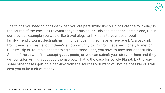

The things you need to consider when you are performing link buildings are the following: Is the source of the back link relevant for your business? This can mean the same niche, like in our previous example you would like travel blogs to link back to your post about family-friendly tourist destinations in Florida. Even if they have an average DA, a backlink from them can mean a lot. If there's an opportunity to link from, let's say, Lonely Planet or Culture Trip or Touropia or something along those lines, you have to take that opportunity. Some of these websites accept **guest posts**, or you can submit your story to them and they will consider writing about you themselves. That is the case for Lonely Planet, by the way. In some other cases getting a backlink from the sources you want will not be possible or it will cost you quite a bit of money.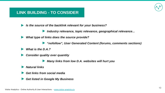

### **LINK BUILDING - TO CONSIDER**

Is the source of the backlink relevant for your business?

Industry relevance, topic relevance, geographical relevance... ▶

What type of links does the source provide?

"nofollow", User Generated Content (forums, comments sections)

What is the D.A.?

**Consider quality over quantity** 

Many links from low D.A. websites will hurt you

**Natural links** 

Get links from social media

**Get listed in Google My Business**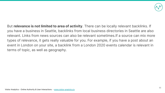

But **relevance is not limited to area of activity**. There can be locally relevant backlinks. If you have a business in Seattle, backlinks from local business directories in Seattle are also relevant. Links from news sources can also be relevant sometimes.If a source can mix more types of relevance, it gets really valuable for you. For example, if you have a post about an event in London on your site, a backlink from a London 2020 events calendar is relevant in terms of topic, as well as geography.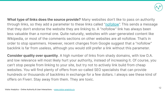

**What type of links does the source provide?** Many websites don't like to pass on authority through links, so they add a parameter to these links called "[nofollow](https://go2page.org/DMPresentation47)". This sends a message that they don't endorse the website they are linking to. A "nofollow" link has always been less valuable than a normal one. Quite naturally, websites with user-generated content like Wikipedia, or most of the comments sections on other websites are all nofollow. That's in order to stop spammers. However, recent changes from Google suggest that a "nofollow" backlink is far from useless, although you would still prefer a link without this parameter.

**Consider quality over quantity**. A high number of links from shady domains, with low D.A. and low relevance will most likely hurt your authority, instead of increasing it. Of course, you can't stop people from linking to your site, but try not to actively link build from cheap websites. You will find plenty of offers from so-called SEO specialists that can provide hundreds or thousands of backlinks in exchange for a few dollars. I always see these kind of offers on Fiverr. Stay away from them. They are toxic.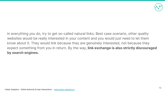

In everything you do, try to get so-called natural links. Best case scenario, other quality websites would be really interested in your content and you would just need to let them know about it. They would link because they are genuinely interested, not because they expect something from you in return. By the way, **link exchange is also strictly discouraged by search engines.**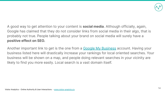

A good way to get attention to your content is **social media**. Although officially, again, Google has claimed that they do not consider links from social media in their algo, that is probably not true. People talking about your brand on social media will surely have a **positive effect on SEO.**

Another important link to get is the one from a [Google My Business](https://go2page.org/DMPresentation37) account. Having your business listed here will drastically increase your rankings for local oriented searches. Your business will be shown on a map, and people doing relevant searches in your vicinity are likely to find you more easily. Local search is a vast domain itself.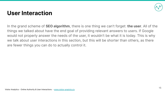

### **User Interaction**

In the grand scheme of **SEO algorithm**, there is one thing we can't forget: **the user**. All of the things we talked about have the end goal of providing relevant answers to users. If Google would not properly answer the needs of the user, it wouldn't be what it is today. This is why we talk about user interactions in this section, but this will be shorter than others, as there are fewer things you can do to actually control it.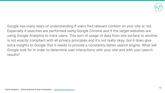

Google has many ways of understanding if users find relevant content on your site or not. Especially if searches are performed using Google Chrome and if the target websites are using Google Analytics to track users. This sort of usage of data from one surface to another is not exactly compliant with all privacy principles and it's not really okay, but it does give extra insights to Google that it needs to provide a constantly better search engine. What will Google look for in order to determine user interactions with your site and with your search results?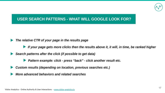

### USER SEARCH PATTERNS - WHAT WILL GOOGLE LOOK FOR?

#### The relative CTR of your page in the results page

- If your page gets more clicks then the results above it, it will, in time, be ranked higher
- Search patterns after the click (if possible to get data)
	- Pattern example: click press "back" click another result etc.
- Custom results (depending on location, previous searches etc.)
- More advanced behaviors and related searches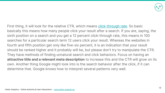

First thing, it will look for the relative CTR, which means [click-through rate](https://go2page.org/DMPresentation48). So basic basically this means how many people click your result after a search. If you are, saying, the sixth position on a search and you get a 12 percent click-through rate, this means in 100 searches for a particular search term 12 users click your result. Whereas the websites in fourth and fifth position get only like five-six percent, it is an indication that your result should be ranked higher and it probably will be, but please don't try to manipulate the CTR. They have methods of finding unnatural search and click behaviors. Focus on having an **attractive title and a relevant meta description** to increase this and the CTR will grow on its own. Another thing Google might look into is the search behavior after the click, if it can determine that. Google knows how to interpret several patterns very well.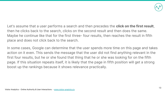

Let's assume that a user performs a search and then precedes the **click on the first result**, then he clicks back to the search, clicks on the second result and then does the same. Maybe he continue like that for the first three- four results, then reaches the result in fifth place and does not click back to the search.

In some cases, Google can determine that the user spends more time on this page and takes action on it even. This sends the message that the user did not find anything relevant in the first four results, but he or she found that thing that he or she was looking for on the fifth page. If this situation repeats itself, it is likely that the page in fifth position will get a strong boost up the rankings because it shows relevance practically.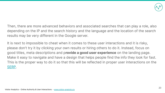

Then, there are more advanced behaviors and associated searches that can play a role, also depending on the IP and the search history and the language and the location of the search results may be very different in the Google server.

It is next to impossible to cheat when it comes to these user interactions and it is risky, please don't try it by clicking your own results or hiring others to do it. Instead, focus on good titles, meta descriptions and p**rovide a good user experience** on the landing page. Make it easy to navigate and have a design that helps people find the info they look for fast. This is the proper way to do it so that this will be reflected in proper user interactions on the [SERP.](https://go2page.org/DMPresentation28)